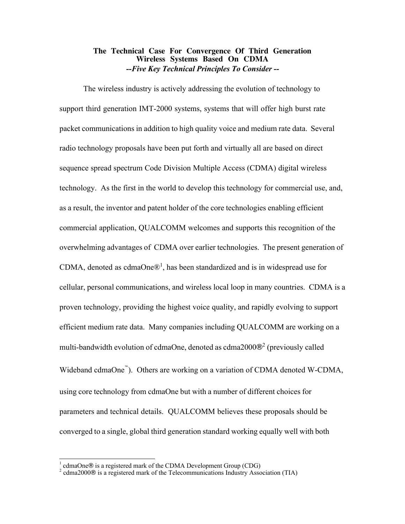#### **The Technical Case For Convergence Of Third Generation Wireless Systems Based On CDMA** *--Five Key Technical Principles To Consider --*

The wireless industry is actively addressing the evolution of technology to support third generation IMT-2000 systems, systems that will offer high burst rate packet communications in addition to high quality voice and medium rate data. Several radio technology proposals have been put forth and virtually all are based on direct sequence spread spectrum Code Division Multiple Access (CDMA) digital wireless technology. As the first in the world to develop this technology for commercial use, and, as a result, the inventor and patent holder of the core technologies enabling efficient commercial application, QUALCOMM welcomes and supports this recognition of the overwhelming advantages of CDMA over earlier technologies. The present generation of CDMA, denoted as cdmaOne $\mathbb{D}^1$ , has been standardized and is in widespread use for cellular, personal communications, and wireless local loop in many countries. CDMA is a proven technology, providing the highest voice quality, and rapidly evolving to support efficient medium rate data. Many companies including QUALCOMM are working on a multi-bandwidth evolution of cdmaOne, denoted as cdma2000 $\mathbb{B}^2$  (previously called Wideband cdmaOne<sup>"</sup>). Others are working on a variation of CDMA denoted W-CDMA, using core technology from cdmaOne but with a number of different choices for parameters and technical details. QUALCOMM believes these proposals should be converged to a single, global third generation standard working equally well with both

 $\overline{a}$ 

<sup>1</sup> cdmaOne® is a registered mark of the CDMA Development Group (CDG)

 $\alpha^2$  cdma2000 $\circ$  is a registered mark of the Telecommunications Industry Association (TIA)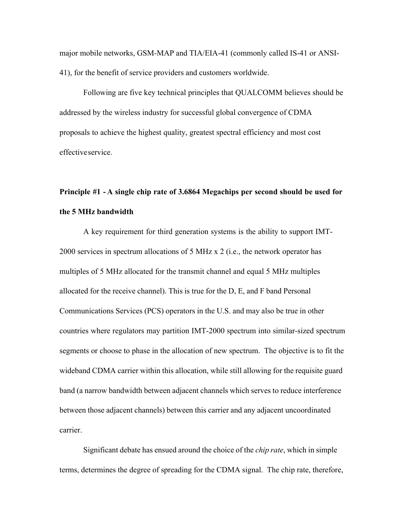major mobile networks, GSM-MAP and TIA/EIA-41 (commonly called IS-41 or ANSI-41), for the benefit of service providers and customers worldwide.

Following are five key technical principles that QUALCOMM believes should be addressed by the wireless industry for successful global convergence of CDMA proposals to achieve the highest quality, greatest spectral efficiency and most cost effective service.

# **Principle #1 - A single chip rate of 3.6864 Megachips per second should be used for the 5 MHz bandwidth**

A key requirement for third generation systems is the ability to support IMT-2000 services in spectrum allocations of 5 MHz x 2 (i.e., the network operator has multiples of 5 MHz allocated for the transmit channel and equal 5 MHz multiples allocated for the receive channel). This is true for the D, E, and F band Personal Communications Services (PCS) operators in the U.S. and may also be true in other countries where regulators may partition IMT-2000 spectrum into similar-sized spectrum segments or choose to phase in the allocation of new spectrum. The objective is to fit the wideband CDMA carrier within this allocation, while still allowing for the requisite guard band (a narrow bandwidth between adjacent channels which serves to reduce interference between those adjacent channels) between this carrier and any adjacent uncoordinated carrier.

Significant debate has ensued around the choice of the *chip rate*, which in simple terms, determines the degree of spreading for the CDMA signal. The chip rate, therefore,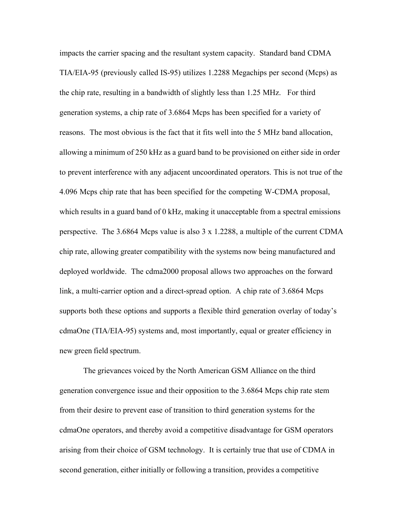impacts the carrier spacing and the resultant system capacity. Standard band CDMA TIA/EIA-95 (previously called IS-95) utilizes 1.2288 Megachips per second (Mcps) as the chip rate, resulting in a bandwidth of slightly less than 1.25 MHz. For third generation systems, a chip rate of 3.6864 Mcps has been specified for a variety of reasons. The most obvious is the fact that it fits well into the 5 MHz band allocation, allowing a minimum of 250 kHz as a guard band to be provisioned on either side in order to prevent interference with any adjacent uncoordinated operators. This is not true of the 4.096 Mcps chip rate that has been specified for the competing W-CDMA proposal, which results in a guard band of 0 kHz, making it unacceptable from a spectral emissions perspective. The 3.6864 Mcps value is also 3 x 1.2288, a multiple of the current CDMA chip rate, allowing greater compatibility with the systems now being manufactured and deployed worldwide. The cdma2000 proposal allows two approaches on the forward link, a multi-carrier option and a direct-spread option. A chip rate of 3.6864 Mcps supports both these options and supports a flexible third generation overlay of today's cdmaOne (TIA/EIA-95) systems and, most importantly, equal or greater efficiency in new green field spectrum.

The grievances voiced by the North American GSM Alliance on the third generation convergence issue and their opposition to the 3.6864 Mcps chip rate stem from their desire to prevent ease of transition to third generation systems for the cdmaOne operators, and thereby avoid a competitive disadvantage for GSM operators arising from their choice of GSM technology. It is certainly true that use of CDMA in second generation, either initially or following a transition, provides a competitive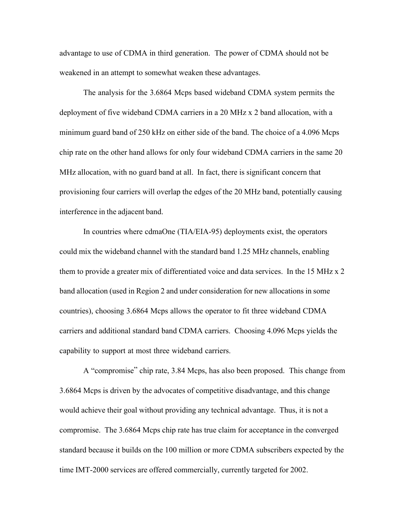advantage to use of CDMA in third generation. The power of CDMA should not be weakened in an attempt to somewhat weaken these advantages.

The analysis for the 3.6864 Mcps based wideband CDMA system permits the deployment of five wideband CDMA carriers in a 20 MHz x 2 band allocation, with a minimum guard band of 250 kHz on either side of the band. The choice of a 4.096 Mcps chip rate on the other hand allows for only four wideband CDMA carriers in the same 20 MHz allocation, with no guard band at all. In fact, there is significant concern that provisioning four carriers will overlap the edges of the 20 MHz band, potentially causing interference in the adjacent band.

In countries where cdmaOne (TIA/EIA-95) deployments exist, the operators could mix the wideband channel with the standard band 1.25 MHz channels, enabling them to provide a greater mix of differentiated voice and data services. In the 15 MHz x 2 band allocation (used in Region 2 and under consideration for new allocations in some countries), choosing 3.6864 Mcps allows the operator to fit three wideband CDMA carriers and additional standard band CDMA carriers. Choosing 4.096 Mcps yields the capability to support at most three wideband carriers.

A "compromise" chip rate, 3.84 Mcps, has also been proposed. This change from 3.6864 Mcps is driven by the advocates of competitive disadvantage, and this change would achieve their goal without providing any technical advantage. Thus, it is not a compromise. The 3.6864 Mcps chip rate has true claim for acceptance in the converged standard because it builds on the 100 million or more CDMA subscribers expected by the time IMT-2000 services are offered commercially, currently targeted for 2002.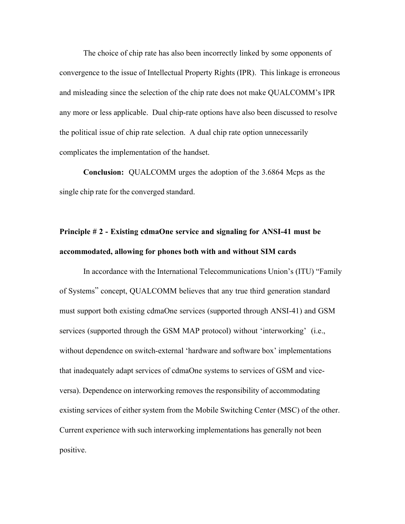The choice of chip rate has also been incorrectly linked by some opponents of convergence to the issue of Intellectual Property Rights (IPR). This linkage is erroneous and misleading since the selection of the chip rate does not make QUALCOMM's IPR any more or less applicable. Dual chip-rate options have also been discussed to resolve the political issue of chip rate selection. A dual chip rate option unnecessarily complicates the implementation of the handset.

**Conclusion:** QUALCOMM urges the adoption of the 3.6864 Mcps as the single chip rate for the converged standard.

## **Principle # 2 - Existing cdmaOne service and signaling for ANSI-41 must be accommodated, allowing for phones both with and without SIM cards**

In accordance with the International Telecommunications Union's (ITU) "Family of Systems" concept, QUALCOMM believes that any true third generation standard must support both existing cdmaOne services (supported through ANSI-41) and GSM services (supported through the GSM MAP protocol) without 'interworking' (i.e., without dependence on switch-external 'hardware and software box' implementations that inadequately adapt services of cdmaOne systems to services of GSM and viceversa). Dependence on interworking removes the responsibility of accommodating existing services of either system from the Mobile Switching Center (MSC) of the other. Current experience with such interworking implementations has generally not been positive.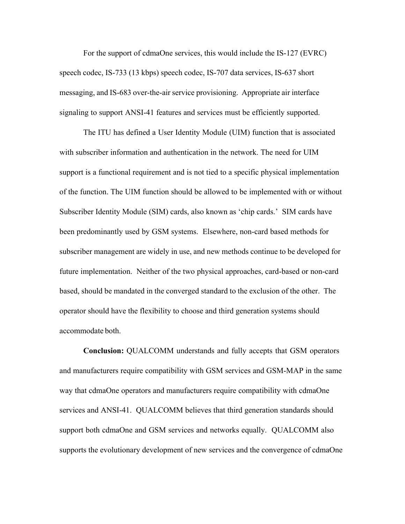For the support of cdmaOne services, this would include the IS-127 (EVRC) speech codec, IS-733 (13 kbps) speech codec, IS-707 data services, IS-637 short messaging, and IS-683 over-the-air service provisioning. Appropriate air interface signaling to support ANSI-41 features and services must be efficiently supported.

The ITU has defined a User Identity Module (UIM) function that is associated with subscriber information and authentication in the network. The need for UIM support is a functional requirement and is not tied to a specific physical implementation of the function. The UIM function should be allowed to be implemented with or without Subscriber Identity Module (SIM) cards, also known as 'chip cards.' SIM cards have been predominantly used by GSM systems. Elsewhere, non-card based methods for subscriber management are widely in use, and new methods continue to be developed for future implementation. Neither of the two physical approaches, card-based or non-card based, should be mandated in the converged standard to the exclusion of the other. The operator should have the flexibility to choose and third generation systems should accommodate both.

**Conclusion:** QUALCOMM understands and fully accepts that GSM operators and manufacturers require compatibility with GSM services and GSM-MAP in the same way that cdmaOne operators and manufacturers require compatibility with cdmaOne services and ANSI-41. QUALCOMM believes that third generation standards should support both cdmaOne and GSM services and networks equally. QUALCOMM also supports the evolutionary development of new services and the convergence of cdmaOne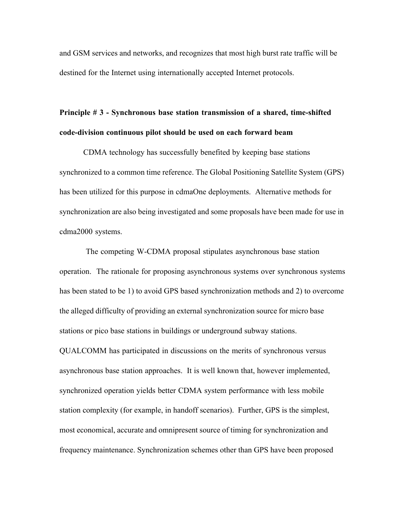and GSM services and networks, and recognizes that most high burst rate traffic will be destined for the Internet using internationally accepted Internet protocols.

## **Principle # 3 - Synchronous base station transmission of a shared, time-shifted code-division continuous pilot should be used on each forward beam**

CDMA technology has successfully benefited by keeping base stations synchronized to a common time reference. The Global Positioning Satellite System (GPS) has been utilized for this purpose in cdmaOne deployments. Alternative methods for synchronization are also being investigated and some proposals have been made for use in cdma2000 systems.

 The competing W-CDMA proposal stipulates asynchronous base station operation. The rationale for proposing asynchronous systems over synchronous systems has been stated to be 1) to avoid GPS based synchronization methods and 2) to overcome the alleged difficulty of providing an external synchronization source for micro base stations or pico base stations in buildings or underground subway stations.

QUALCOMM has participated in discussions on the merits of synchronous versus asynchronous base station approaches. It is well known that, however implemented, synchronized operation yields better CDMA system performance with less mobile station complexity (for example, in handoff scenarios). Further, GPS is the simplest, most economical, accurate and omnipresent source of timing for synchronization and frequency maintenance. Synchronization schemes other than GPS have been proposed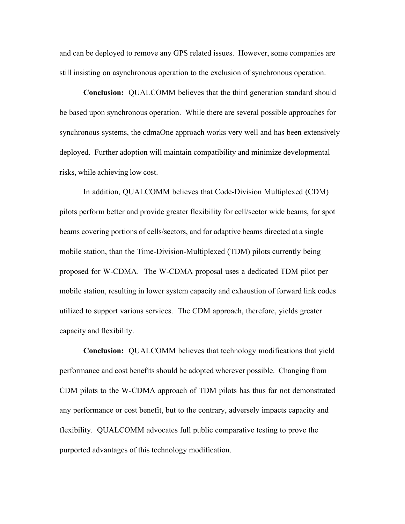and can be deployed to remove any GPS related issues. However, some companies are still insisting on asynchronous operation to the exclusion of synchronous operation.

**Conclusion:** QUALCOMM believes that the third generation standard should be based upon synchronous operation. While there are several possible approaches for synchronous systems, the cdmaOne approach works very well and has been extensively deployed. Further adoption will maintain compatibility and minimize developmental risks, while achieving low cost.

In addition, QUALCOMM believes that Code-Division Multiplexed (CDM) pilots perform better and provide greater flexibility for cell/sector wide beams, for spot beams covering portions of cells/sectors, and for adaptive beams directed at a single mobile station, than the Time-Division-Multiplexed (TDM) pilots currently being proposed for W-CDMA. The W-CDMA proposal uses a dedicated TDM pilot per mobile station, resulting in lower system capacity and exhaustion of forward link codes utilized to support various services. The CDM approach, therefore, yields greater capacity and flexibility.

**Conclusion:** QUALCOMM believes that technology modifications that yield performance and cost benefits should be adopted wherever possible. Changing from CDM pilots to the W-CDMA approach of TDM pilots has thus far not demonstrated any performance or cost benefit, but to the contrary, adversely impacts capacity and flexibility. QUALCOMM advocates full public comparative testing to prove the purported advantages of this technology modification.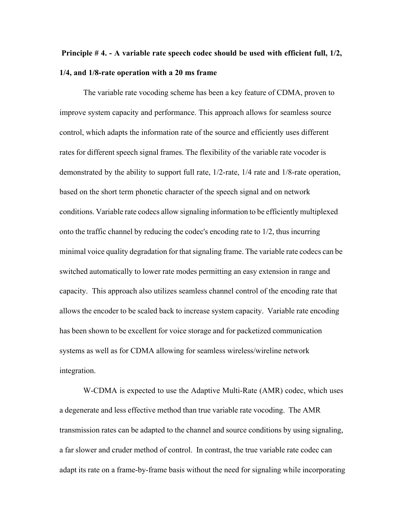# **Principle # 4. - A variable rate speech codec should be used with efficient full, 1/2, 1/4, and 1/8-rate operation with a 20 ms frame**

The variable rate vocoding scheme has been a key feature of CDMA, proven to improve system capacity and performance. This approach allows for seamless source control, which adapts the information rate of the source and efficiently uses different rates for different speech signal frames. The flexibility of the variable rate vocoder is demonstrated by the ability to support full rate, 1/2-rate, 1/4 rate and 1/8-rate operation, based on the short term phonetic character of the speech signal and on network conditions. Variable rate codecs allow signaling information to be efficiently multiplexed onto the traffic channel by reducing the codec's encoding rate to 1/2, thus incurring minimal voice quality degradation for that signaling frame. The variable rate codecs can be switched automatically to lower rate modes permitting an easy extension in range and capacity. This approach also utilizes seamless channel control of the encoding rate that allows the encoder to be scaled back to increase system capacity. Variable rate encoding has been shown to be excellent for voice storage and for packetized communication systems as well as for CDMA allowing for seamless wireless/wireline network integration.

W-CDMA is expected to use the Adaptive Multi-Rate (AMR) codec, which uses a degenerate and less effective method than true variable rate vocoding. The AMR transmission rates can be adapted to the channel and source conditions by using signaling, a far slower and cruder method of control. In contrast, the true variable rate codec can adapt its rate on a frame-by-frame basis without the need for signaling while incorporating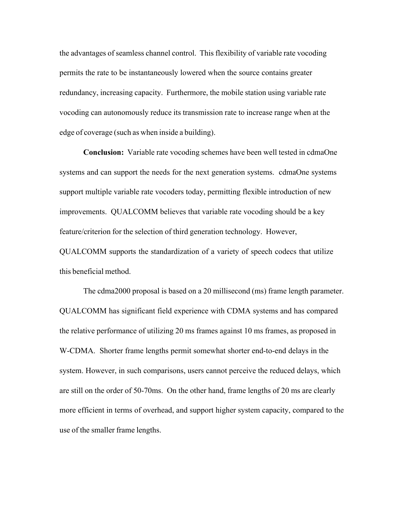the advantages of seamless channel control. This flexibility of variable rate vocoding permits the rate to be instantaneously lowered when the source contains greater redundancy, increasing capacity. Furthermore, the mobile station using variable rate vocoding can autonomously reduce its transmission rate to increase range when at the edge of coverage (such as when inside a building).

**Conclusion:** Variable rate vocoding schemes have been well tested in cdmaOne systems and can support the needs for the next generation systems. cdmaOne systems support multiple variable rate vocoders today, permitting flexible introduction of new improvements. QUALCOMM believes that variable rate vocoding should be a key feature/criterion for the selection of third generation technology. However, QUALCOMM supports the standardization of a variety of speech codecs that utilize this beneficial method.

The cdma2000 proposal is based on a 20 millisecond (ms) frame length parameter. QUALCOMM has significant field experience with CDMA systems and has compared the relative performance of utilizing 20 ms frames against 10 ms frames, as proposed in W-CDMA. Shorter frame lengths permit somewhat shorter end-to-end delays in the system. However, in such comparisons, users cannot perceive the reduced delays, which are still on the order of 50-70ms. On the other hand, frame lengths of 20 ms are clearly more efficient in terms of overhead, and support higher system capacity, compared to the use of the smaller frame lengths.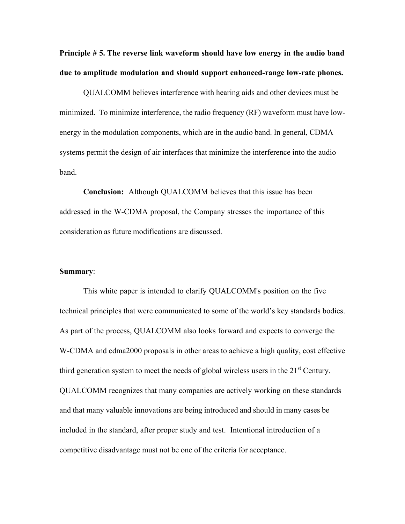**Principle # 5. The reverse link waveform should have low energy in the audio band due to amplitude modulation and should support enhanced-range low-rate phones.**

QUALCOMM believes interference with hearing aids and other devices must be minimized. To minimize interference, the radio frequency (RF) waveform must have lowenergy in the modulation components, which are in the audio band. In general, CDMA systems permit the design of air interfaces that minimize the interference into the audio band.

**Conclusion:** Although QUALCOMM believes that this issue has been addressed in the W-CDMA proposal, the Company stresses the importance of this consideration as future modifications are discussed.

#### **Summary**:

This white paper is intended to clarify QUALCOMM's position on the five technical principles that were communicated to some of the world's key standards bodies. As part of the process, QUALCOMM also looks forward and expects to converge the W-CDMA and cdma2000 proposals in other areas to achieve a high quality, cost effective third generation system to meet the needs of global wireless users in the  $21<sup>st</sup>$  Century. QUALCOMM recognizes that many companies are actively working on these standards and that many valuable innovations are being introduced and should in many cases be included in the standard, after proper study and test. Intentional introduction of a competitive disadvantage must not be one of the criteria for acceptance.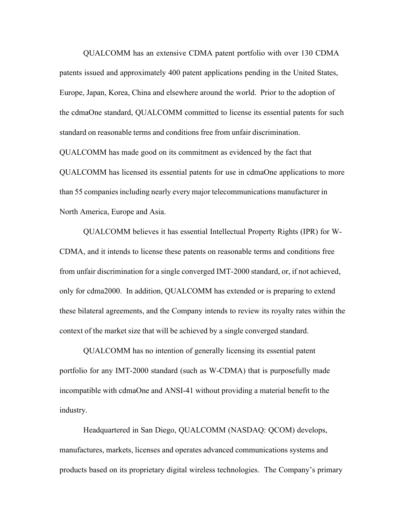QUALCOMM has an extensive CDMA patent portfolio with over 130 CDMA patents issued and approximately 400 patent applications pending in the United States, Europe, Japan, Korea, China and elsewhere around the world. Prior to the adoption of the cdmaOne standard, QUALCOMM committed to license its essential patents for such standard on reasonable terms and conditions free from unfair discrimination.

QUALCOMM has made good on its commitment as evidenced by the fact that QUALCOMM has licensed its essential patents for use in cdmaOne applications to more than 55 companies including nearly every major telecommunications manufacturer in North America, Europe and Asia.

QUALCOMM believes it has essential Intellectual Property Rights (IPR) for W-CDMA, and it intends to license these patents on reasonable terms and conditions free from unfair discrimination for a single converged IMT-2000 standard, or, if not achieved, only for cdma2000. In addition, QUALCOMM has extended or is preparing to extend these bilateral agreements, and the Company intends to review its royalty rates within the context of the market size that will be achieved by a single converged standard.

QUALCOMM has no intention of generally licensing its essential patent portfolio for any IMT-2000 standard (such as W-CDMA) that is purposefully made incompatible with cdmaOne and ANSI-41 without providing a material benefit to the industry.

Headquartered in San Diego, QUALCOMM (NASDAQ: QCOM) develops, manufactures, markets, licenses and operates advanced communications systems and products based on its proprietary digital wireless technologies. The Company's primary